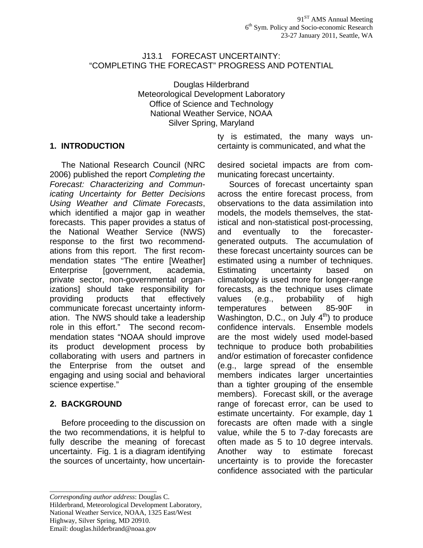#### J13.1 FORECAST UNCERTAINTY: "COMPLETING THE FORECAST" PROGRESS AND POTENTIAL

Douglas Hilderbrand Meteorological Development Laboratory Office of Science and Technology National Weather Service, NOAA Silver Spring, Maryland

### **1. INTRODUCTION**

 The National Research Council (NRC 2006) published the report *Completing the Forecast: Characterizing and Communicating Uncertainty for Better Decisions Using Weather and Climate Forecasts*, which identified a major gap in weather forecasts. This paper provides a status of the National Weather Service (NWS) response to the first two recommendations from this report. The first recommendation states "The entire [Weather] Enterprise [government, academia, private sector, non-governmental organizations] should take responsibility for providing products that effectively communicate forecast uncertainty information. The NWS should take a leadership role in this effort." The second recommendation states "NOAA should improve its product development process by collaborating with users and partners in the Enterprise from the outset and engaging and using social and behavioral science expertise."

#### **2. BACKGROUND**

 Before proceeding to the discussion on the two recommendations, it is helpful to fully describe the meaning of forecast uncertainty. Fig. 1 is a diagram identifying the sources of uncertainty, how uncertainty is estimated, the many ways uncertainty is communicated, and what the

desired societal impacts are from communicating forecast uncertainty.

 Sources of forecast uncertainty span across the entire forecast process, from observations to the data assimilation into models, the models themselves, the statistical and non-statistical post-processing, and eventually to the forecastergenerated outputs. The accumulation of these forecast uncertainty sources can be estimated using a number of techniques. Estimating uncertainty based on climatology is used more for longer-range forecasts, as the technique uses climate values (e.g., probability of high temperatures between 85-90F in Washington, D.C., on July  $4<sup>th</sup>$  to produce confidence intervals. Ensemble models are the most widely used model-based technique to produce both probabilities and/or estimation of forecaster confidence (e.g., large spread of the ensemble members indicates larger uncertainties than a tighter grouping of the ensemble members). Forecast skill, or the average range of forecast error, can be used to estimate uncertainty. For example, day 1 forecasts are often made with a single value, while the 5 to 7-day forecasts are often made as 5 to 10 degree intervals. Another way to estimate forecast uncertainty is to provide the forecaster confidence associated with the particular

*\_\_\_\_\_\_\_\_\_\_\_\_\_\_\_\_\_\_\_\_\_\_\_\_\_\_\_\_\_\_\_*

Highway, Silver Spring, MD 20910.

Email: douglas.hilderbrand@noaa.gov

*Corresponding author address*: Douglas C.

Hilderbrand, Meteorological Development Laboratory,

National Weather Service, NOAA, 1325 East/West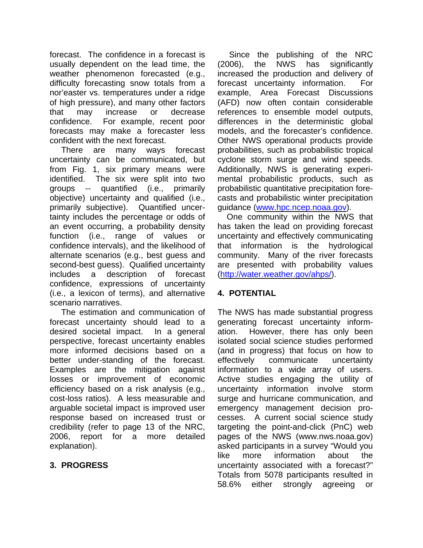forecast. The confidence in a forecast is usually dependent on the lead time, the weather phenomenon forecasted (e.g., difficulty forecasting snow totals from a nor'easter vs. temperatures under a ridge of high pressure), and many other factors that may increase or decrease confidence. For example, recent poor forecasts may make a forecaster less confident with the next forecast.

 There are many ways forecast uncertainty can be communicated, but from Fig. 1, six primary means were identified. The six were split into two groups -- quantified (i.e., primarily objective) uncertainty and qualified (i.e., primarily subjective). Quantified uncertainty includes the percentage or odds of an event occurring, a probability density function (i.e., range of values or confidence intervals), and the likelihood of alternate scenarios (e.g., best guess and second-best guess). Qualified uncertainty includes a description of forecast confidence, expressions of uncertainty (i.e., a lexicon of terms), and alternative scenario narratives.

 The estimation and communication of forecast uncertainty should lead to a desired societal impact. In a general perspective, forecast uncertainty enables more informed decisions based on a better under-standing of the forecast. Examples are the mitigation against losses or improvement of economic efficiency based on a risk analysis (e.g., cost-loss ratios). A less measurable and arguable societal impact is improved user response based on increased trust or credibility (refer to page 13 of the NRC, 2006, report for a more detailed explanation).

# **3. PROGRESS**

 Since the publishing of the NRC (2006), the NWS has significantly increased the production and delivery of forecast uncertainty information. For example, Area Forecast Discussions (AFD) now often contain considerable references to ensemble model outputs, differences in the deterministic global models, and the forecaster's confidence. Other NWS operational products provide probabilities, such as probabilistic tropical cyclone storm surge and wind speeds. Additionally, NWS is generating experimental probabilistic products, such as probabilistic quantitative precipitation forecasts and probabilistic winter precipitation guidance [\(www.hpc.ncep.noaa.gov\)](http://www.hpc.ncep.noaa.gov/).

 One community within the NWS that has taken the lead on providing forecast uncertainty and effectively communicating that information is the hydrological community. Many of the river forecasts are presented with probability values [\(http://water.weather.gov/ahps/\)](http://water.weather.gov/ahps/).

# **4. POTENTIAL**

The NWS has made substantial progress generating forecast uncertainty information. However, there has only been isolated social science studies performed (and in progress) that focus on how to effectively communicate uncertainty information to a wide array of users. Active studies engaging the utility of uncertainty information involve storm surge and hurricane communication, and emergency management decision processes. A current social science study targeting the point-and-click (PnC) web pages of the NWS (www.nws.noaa.gov) asked participants in a survey "Would you like more information about the uncertainty associated with a forecast?" Totals from 5078 participants resulted in 58.6% either strongly agreeing or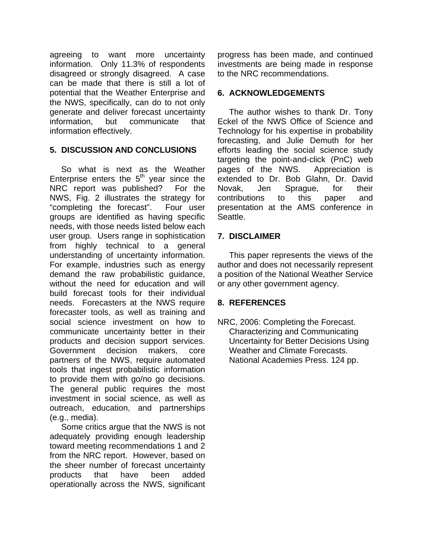agreeing to want more uncertainty information. Only 11.3% of respondents disagreed or strongly disagreed. A case can be made that there is still a lot of potential that the Weather Enterprise and the NWS, specifically, can do to not only generate and deliver forecast uncertainty information, but communicate that information effectively.

## **5. DISCUSSION AND CONCLUSIONS**

 So what is next as the Weather Enterprise enters the  $5<sup>th</sup>$  year since the NRC report was published? For the NWS, Fig. 2 illustrates the strategy for "completing the forecast". Four user groups are identified as having specific needs, with those needs listed below each user group. Users range in sophistication from highly technical to a general understanding of uncertainty information. For example, industries such as energy demand the raw probabilistic guidance, without the need for education and will build forecast tools for their individual needs. Forecasters at the NWS require forecaster tools, as well as training and social science investment on how to communicate uncertainty better in their products and decision support services. Government decision makers, core partners of the NWS, require automated tools that ingest probabilistic information to provide them with go/no go decisions. The general public requires the most investment in social science, as well as outreach, education, and partnerships (e.g., media).

 Some critics argue that the NWS is not adequately providing enough leadership toward meeting recommendations 1 and 2 from the NRC report. However, based on the sheer number of forecast uncertainty products that have been added operationally across the NWS, significant

progress has been made, and continued investments are being made in response to the NRC recommendations.

## **6. ACKNOWLEDGEMENTS**

 The author wishes to thank Dr. Tony Eckel of the NWS Office of Science and Technology for his expertise in probability forecasting, and Julie Demuth for her efforts leading the social science study targeting the point-and-click (PnC) web pages of the NWS. Appreciation is extended to Dr. Bob Glahn, Dr. David Novak, Jen Sprague, for their contributions to this paper and presentation at the AMS conference in Seattle.

# **7. DISCLAIMER**

 This paper represents the views of the author and does not necessarily represent a position of the National Weather Service or any other government agency.

# **8. REFERENCES**

NRC, 2006: Completing the Forecast. Characterizing and Communicating Uncertainty for Better Decisions Using Weather and Climate Forecasts. National Academies Press. 124 pp.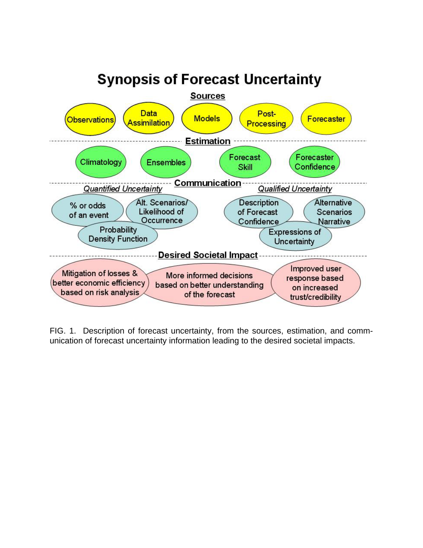

FIG. 1. Description of forecast uncertainty, from the sources, estimation, and communication of forecast uncertainty information leading to the desired societal impacts.